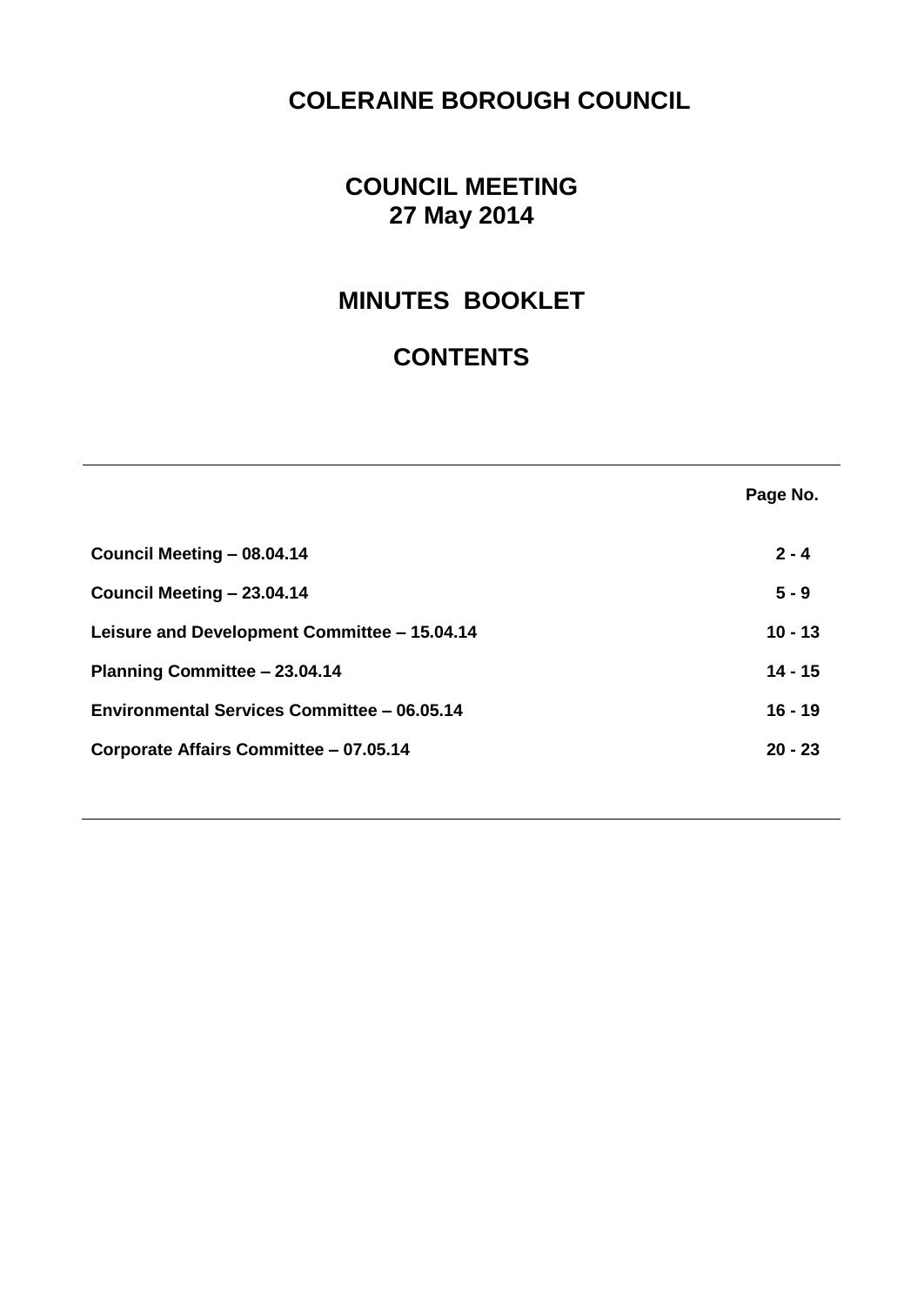# **COLERAINE BOROUGH COUNCIL**

# **COUNCIL MEETING 27 May 2014**

# **MINUTES BOOKLET**

# **CONTENTS**

|                                              | Page No.  |
|----------------------------------------------|-----------|
| Council Meeting - 08.04.14                   | $2 - 4$   |
| Council Meeting - 23.04.14                   | $5 - 9$   |
| Leisure and Development Committee - 15.04.14 | $10 - 13$ |
| Planning Committee - 23.04.14                | $14 - 15$ |
| Environmental Services Committee – 06.05.14  | $16 - 19$ |
| Corporate Affairs Committee - 07.05.14       | $20 - 23$ |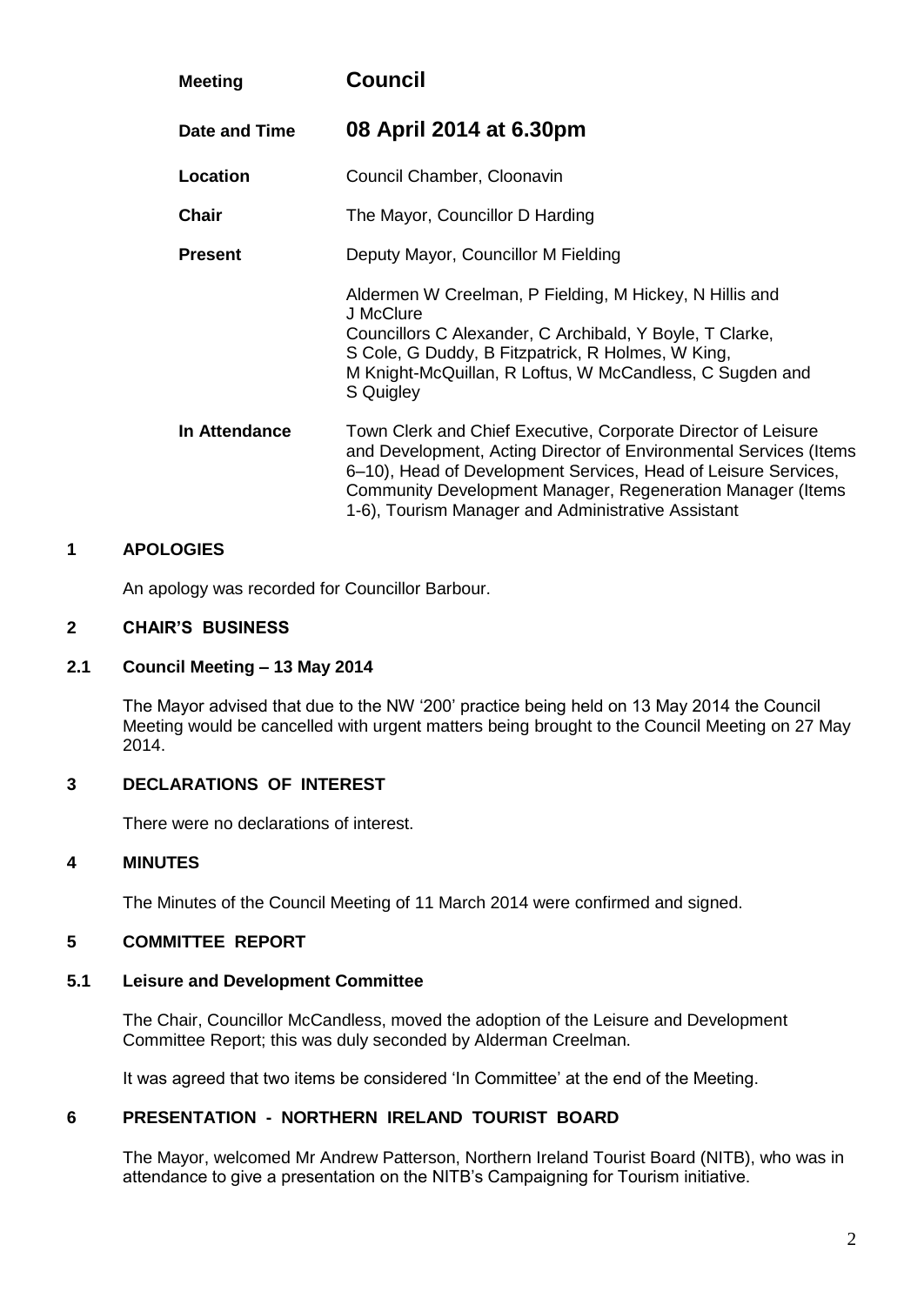| <b>Meeting</b> | <b>Council</b>                                                                                                                                                                                                                                                                                                           |  |
|----------------|--------------------------------------------------------------------------------------------------------------------------------------------------------------------------------------------------------------------------------------------------------------------------------------------------------------------------|--|
| Date and Time  | 08 April 2014 at 6.30pm                                                                                                                                                                                                                                                                                                  |  |
| Location       | Council Chamber, Cloonavin                                                                                                                                                                                                                                                                                               |  |
| <b>Chair</b>   | The Mayor, Councillor D Harding                                                                                                                                                                                                                                                                                          |  |
| <b>Present</b> | Deputy Mayor, Councillor M Fielding                                                                                                                                                                                                                                                                                      |  |
|                | Aldermen W Creelman, P Fielding, M Hickey, N Hillis and<br>J McClure<br>Councillors C Alexander, C Archibald, Y Boyle, T Clarke,<br>S Cole, G Duddy, B Fitzpatrick, R Holmes, W King,<br>M Knight-McQuillan, R Loftus, W McCandless, C Sugden and<br>S Quigley                                                           |  |
| In Attendance  | Town Clerk and Chief Executive, Corporate Director of Leisure<br>and Development, Acting Director of Environmental Services (Items<br>6–10), Head of Development Services, Head of Leisure Services,<br>Community Development Manager, Regeneration Manager (Items<br>1-6), Tourism Manager and Administrative Assistant |  |

An apology was recorded for Councillor Barbour.

## **2 CHAIR'S BUSINESS**

#### **2.1 Council Meeting – 13 May 2014**

The Mayor advised that due to the NW '200' practice being held on 13 May 2014 the Council Meeting would be cancelled with urgent matters being brought to the Council Meeting on 27 May 2014.

## **3 DECLARATIONS OF INTEREST**

There were no declarations of interest.

#### **4 MINUTES**

The Minutes of the Council Meeting of 11 March 2014 were confirmed and signed.

## **5 COMMITTEE REPORT**

#### **5.1 Leisure and Development Committee**

The Chair, Councillor McCandless, moved the adoption of the Leisure and Development Committee Report; this was duly seconded by Alderman Creelman.

It was agreed that two items be considered 'In Committee' at the end of the Meeting.

## **6 PRESENTATION - NORTHERN IRELAND TOURIST BOARD**

The Mayor, welcomed Mr Andrew Patterson, Northern Ireland Tourist Board (NITB), who was in attendance to give a presentation on the NITB's Campaigning for Tourism initiative.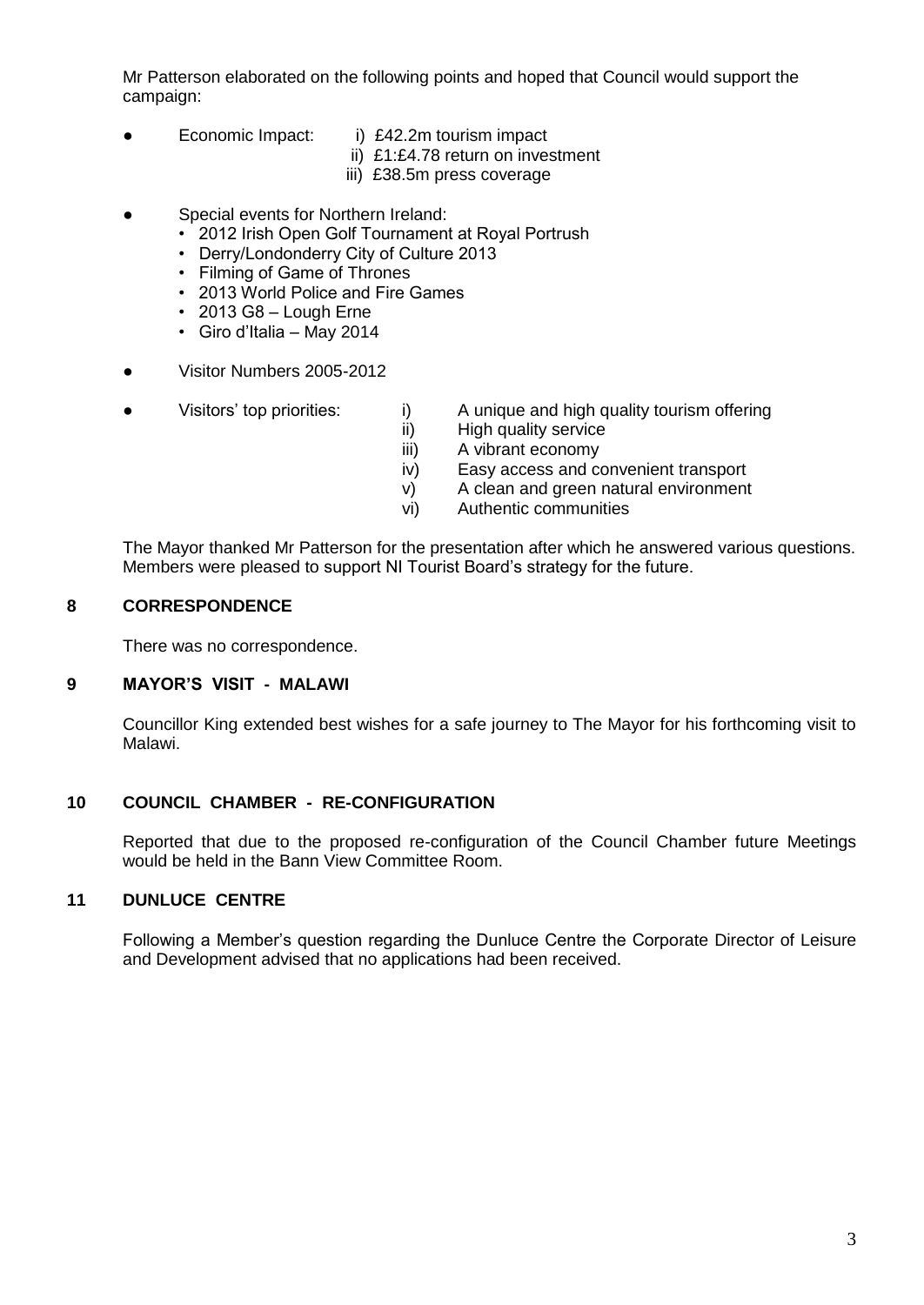Mr Patterson elaborated on the following points and hoped that Council would support the campaign:

- Economic Impact: i) £42.2m tourism impact
	-
	- ii) £1:£4.78 return on investment
	- iii) £38.5m press coverage
- Special events for Northern Ireland:
	- 2012 Irish Open Golf Tournament at Royal Portrush
	- Derry/Londonderry City of Culture 2013
	- Filming of Game of Thrones
	- 2013 World Police and Fire Games
	- 2013 G8 Lough Erne
	- Giro d'Italia May 2014
- Visitor Numbers 2005-2012
- 
- Visitors' top priorities: i) A unique and high quality tourism offering
	- ii) High quality service
	- iii) A vibrant economy
	- iv) Easy access and convenient transport
	- v) A clean and green natural environment
	- vi) Authentic communities

The Mayor thanked Mr Patterson for the presentation after which he answered various questions. Members were pleased to support NI Tourist Board's strategy for the future.

## **8 CORRESPONDENCE**

There was no correspondence.

## **9 MAYOR'S VISIT - MALAWI**

Councillor King extended best wishes for a safe journey to The Mayor for his forthcoming visit to Malawi.

# **10 COUNCIL CHAMBER - RE-CONFIGURATION**

Reported that due to the proposed re-configuration of the Council Chamber future Meetings would be held in the Bann View Committee Room.

## **11 DUNLUCE CENTRE**

Following a Member's question regarding the Dunluce Centre the Corporate Director of Leisure and Development advised that no applications had been received.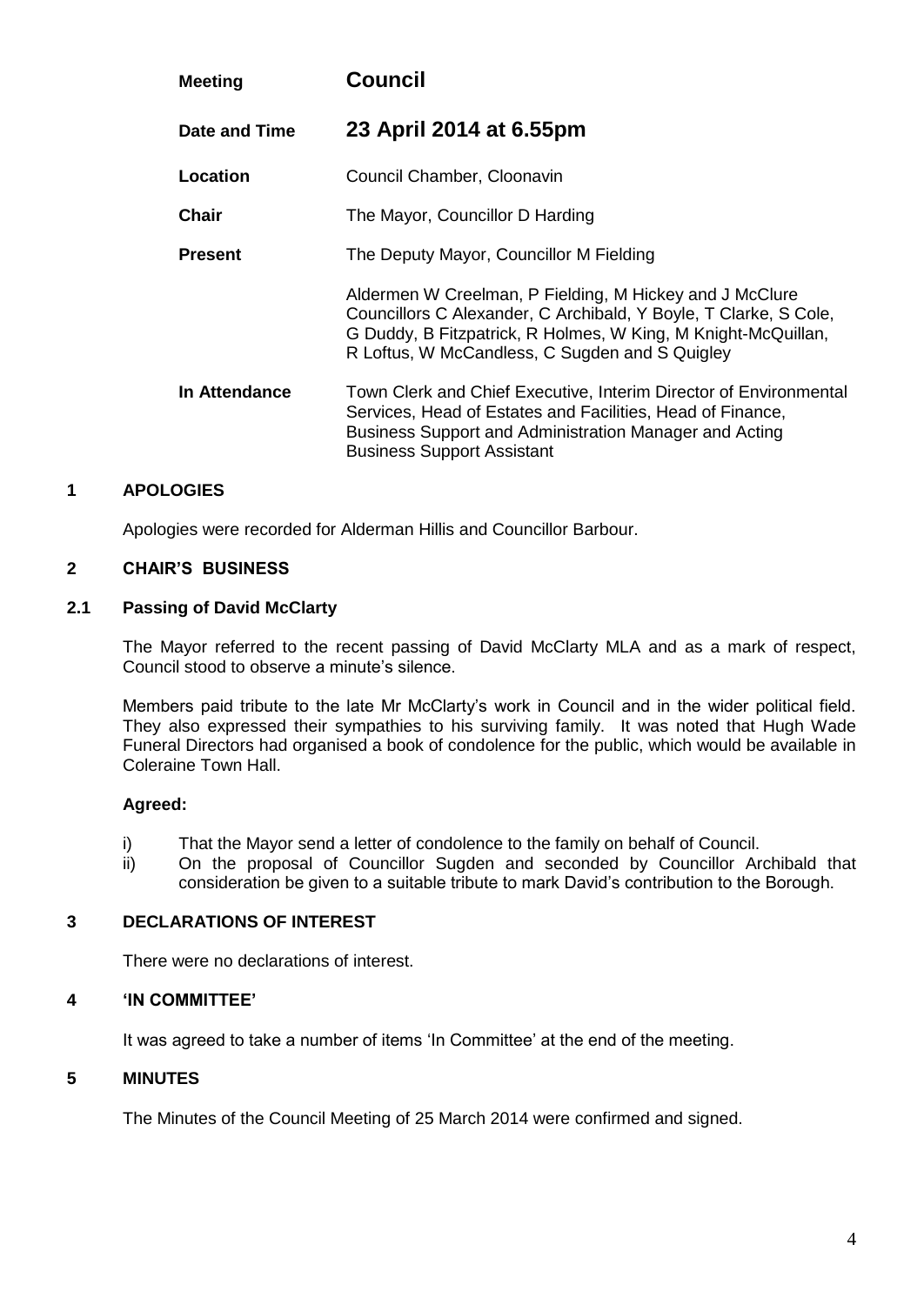| <b>Meeting</b> | <b>Council</b>                                                                                                                                                                                                                                 |  |
|----------------|------------------------------------------------------------------------------------------------------------------------------------------------------------------------------------------------------------------------------------------------|--|
| Date and Time  | 23 April 2014 at 6.55pm                                                                                                                                                                                                                        |  |
| Location       | Council Chamber, Cloonavin                                                                                                                                                                                                                     |  |
| Chair          | The Mayor, Councillor D Harding                                                                                                                                                                                                                |  |
| <b>Present</b> | The Deputy Mayor, Councillor M Fielding                                                                                                                                                                                                        |  |
|                | Aldermen W Creelman, P Fielding, M Hickey and J McClure<br>Councillors C Alexander, C Archibald, Y Boyle, T Clarke, S Cole,<br>G Duddy, B Fitzpatrick, R Holmes, W King, M Knight-McQuillan,<br>R Loftus, W McCandless, C Sugden and S Quigley |  |
| In Attendance  | Town Clerk and Chief Executive, Interim Director of Environmental<br>Services, Head of Estates and Facilities, Head of Finance,<br>Business Support and Administration Manager and Acting<br><b>Business Support Assistant</b>                 |  |

Apologies were recorded for Alderman Hillis and Councillor Barbour.

## **2 CHAIR'S BUSINESS**

#### **2.1 Passing of David McClarty**

The Mayor referred to the recent passing of David McClarty MLA and as a mark of respect, Council stood to observe a minute's silence.

Members paid tribute to the late Mr McClarty's work in Council and in the wider political field. They also expressed their sympathies to his surviving family. It was noted that Hugh Wade Funeral Directors had organised a book of condolence for the public, which would be available in Coleraine Town Hall.

## **Agreed:**

- i) That the Mayor send a letter of condolence to the family on behalf of Council.
- ii) On the proposal of Councillor Sugden and seconded by Councillor Archibald that consideration be given to a suitable tribute to mark David's contribution to the Borough.

## **3 DECLARATIONS OF INTEREST**

There were no declarations of interest.

#### **4 'IN COMMITTEE'**

It was agreed to take a number of items 'In Committee' at the end of the meeting.

## **5 MINUTES**

The Minutes of the Council Meeting of 25 March 2014 were confirmed and signed.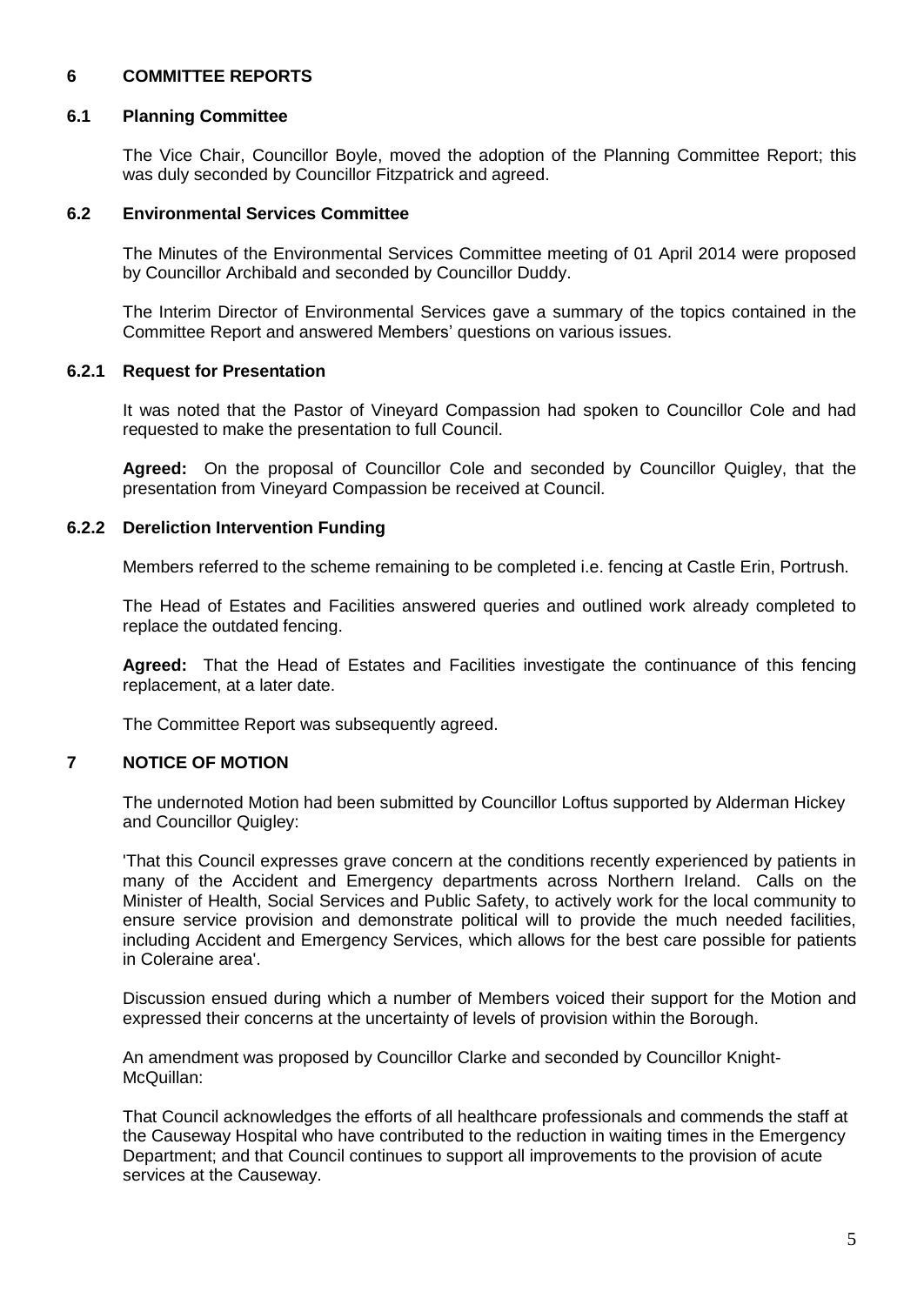# **6 COMMITTEE REPORTS**

## **6.1 Planning Committee**

The Vice Chair, Councillor Boyle, moved the adoption of the Planning Committee Report; this was duly seconded by Councillor Fitzpatrick and agreed.

#### **6.2 Environmental Services Committee**

The Minutes of the Environmental Services Committee meeting of 01 April 2014 were proposed by Councillor Archibald and seconded by Councillor Duddy.

The Interim Director of Environmental Services gave a summary of the topics contained in the Committee Report and answered Members' questions on various issues.

#### **6.2.1 Request for Presentation**

It was noted that the Pastor of Vineyard Compassion had spoken to Councillor Cole and had requested to make the presentation to full Council.

**Agreed:** On the proposal of Councillor Cole and seconded by Councillor Quigley, that the presentation from Vineyard Compassion be received at Council.

#### **6.2.2 Dereliction Intervention Funding**

Members referred to the scheme remaining to be completed i.e. fencing at Castle Erin, Portrush.

The Head of Estates and Facilities answered queries and outlined work already completed to replace the outdated fencing.

**Agreed:** That the Head of Estates and Facilities investigate the continuance of this fencing replacement, at a later date.

The Committee Report was subsequently agreed.

## **7 NOTICE OF MOTION**

The undernoted Motion had been submitted by Councillor Loftus supported by Alderman Hickey and Councillor Quigley:

'That this Council expresses grave concern at the conditions recently experienced by patients in many of the Accident and Emergency departments across Northern Ireland. Calls on the Minister of Health, Social Services and Public Safety, to actively work for the local community to ensure service provision and demonstrate political will to provide the much needed facilities, including Accident and Emergency Services, which allows for the best care possible for patients in Coleraine area'.

Discussion ensued during which a number of Members voiced their support for the Motion and expressed their concerns at the uncertainty of levels of provision within the Borough.

An amendment was proposed by Councillor Clarke and seconded by Councillor Knight-McQuillan:

That Council acknowledges the efforts of all healthcare professionals and commends the staff at the Causeway Hospital who have contributed to the reduction in waiting times in the Emergency Department; and that Council continues to support all improvements to the provision of acute services at the Causeway.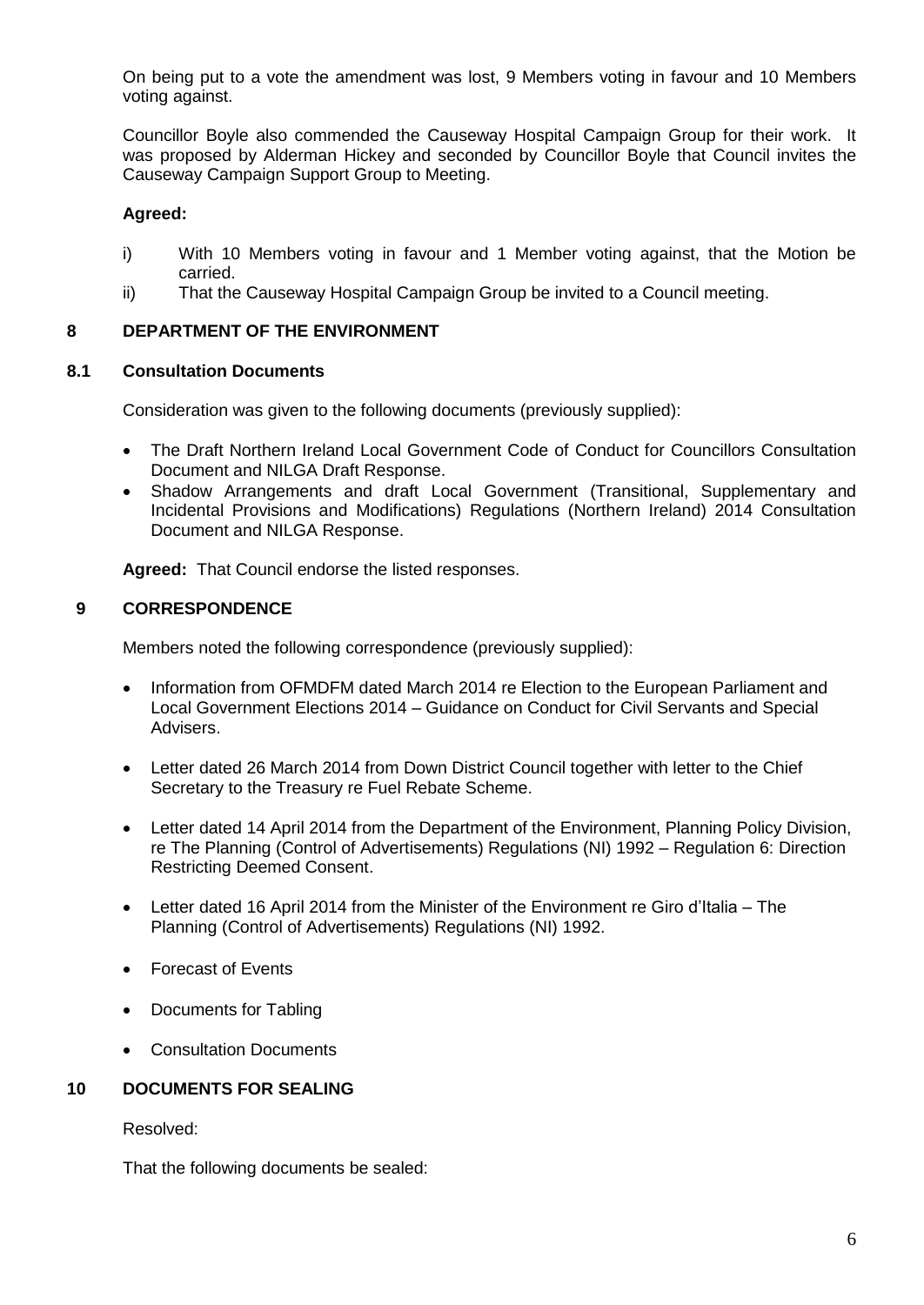On being put to a vote the amendment was lost, 9 Members voting in favour and 10 Members voting against.

Councillor Boyle also commended the Causeway Hospital Campaign Group for their work. It was proposed by Alderman Hickey and seconded by Councillor Boyle that Council invites the Causeway Campaign Support Group to Meeting.

## **Agreed:**

- i) With 10 Members voting in favour and 1 Member voting against, that the Motion be carried.
- ii) That the Causeway Hospital Campaign Group be invited to a Council meeting.

## **8 DEPARTMENT OF THE ENVIRONMENT**

## **8.1 Consultation Documents**

Consideration was given to the following documents (previously supplied):

- The Draft Northern Ireland Local Government Code of Conduct for Councillors Consultation Document and NILGA Draft Response.
- Shadow Arrangements and draft Local Government (Transitional, Supplementary and Incidental Provisions and Modifications) Regulations (Northern Ireland) 2014 Consultation Document and NILGA Response.

**Agreed:** That Council endorse the listed responses.

## **9 CORRESPONDENCE**

Members noted the following correspondence (previously supplied):

- Information from OFMDFM dated March 2014 re Election to the European Parliament and Local Government Elections 2014 – Guidance on Conduct for Civil Servants and Special Advisers.
- Letter dated 26 March 2014 from Down District Council together with letter to the Chief Secretary to the Treasury re Fuel Rebate Scheme.
- Letter dated 14 April 2014 from the Department of the Environment, Planning Policy Division, re The Planning (Control of Advertisements) Regulations (NI) 1992 – Regulation 6: Direction Restricting Deemed Consent.
- Letter dated 16 April 2014 from the Minister of the Environment re Giro d'Italia The Planning (Control of Advertisements) Regulations (NI) 1992.
- Forecast of Events
- Documents for Tabling
- Consultation Documents

## **10 DOCUMENTS FOR SEALING**

Resolved:

That the following documents be sealed: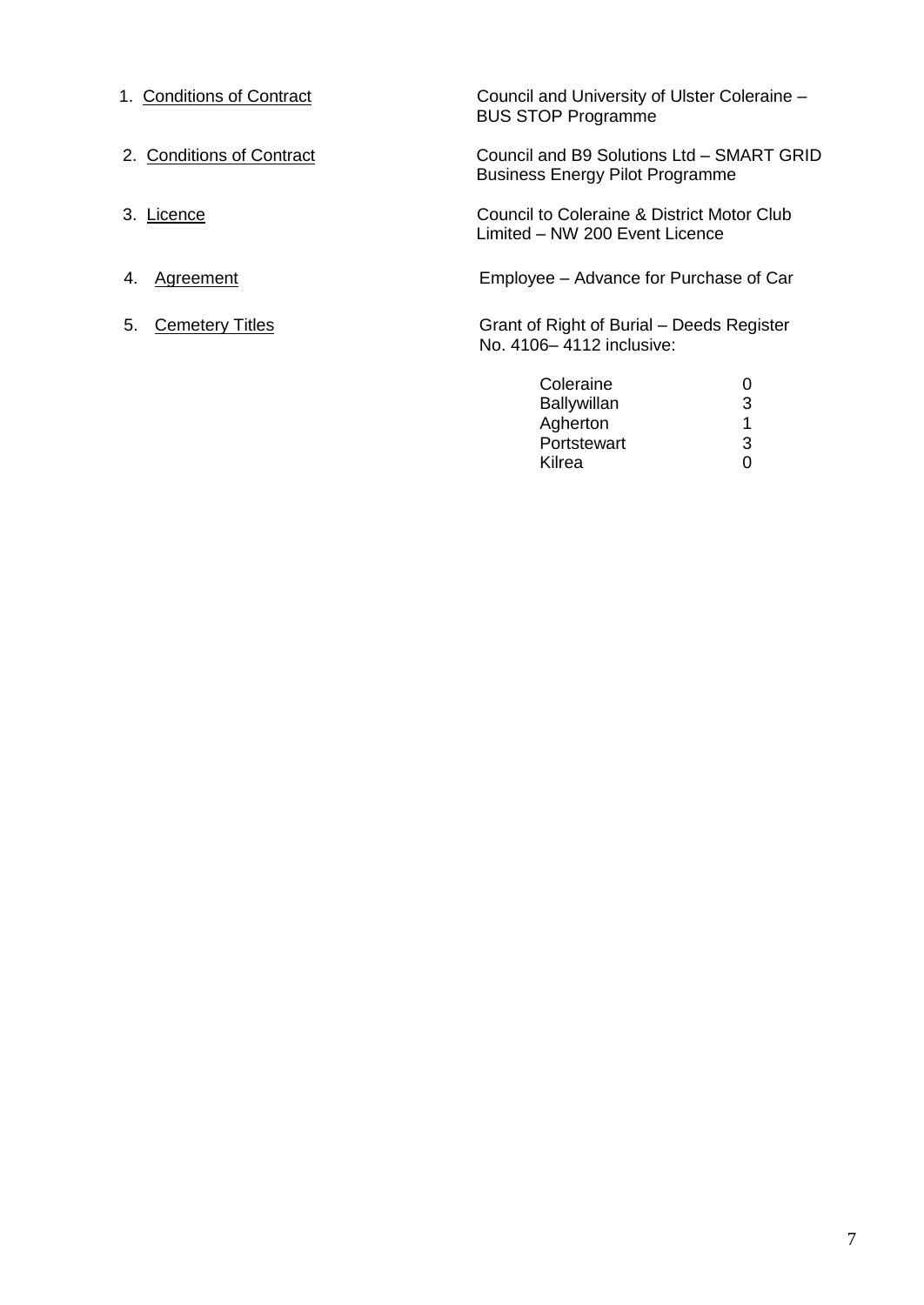| 1. Conditions of Contract    | Council and University of Ulster Coleraine -<br><b>BUS STOP Programme</b>           |   |
|------------------------------|-------------------------------------------------------------------------------------|---|
| 2. Conditions of Contract    | Council and B9 Solutions Ltd - SMART GRID<br><b>Business Energy Pilot Programme</b> |   |
| 3. Licence                   | Council to Coleraine & District Motor Club<br>Limited – NW 200 Event Licence        |   |
| Agreement<br>4.              | Employee – Advance for Purchase of Car                                              |   |
| <b>Cemetery Titles</b><br>5. | Grant of Right of Burial – Deeds Register<br>No. 4106-4112 inclusive:               |   |
|                              | Coleraine                                                                           | 0 |
|                              | <b>Ballywillan</b>                                                                  | 3 |
|                              | Agherton                                                                            | 1 |

Portstewart 3 Kilrea 0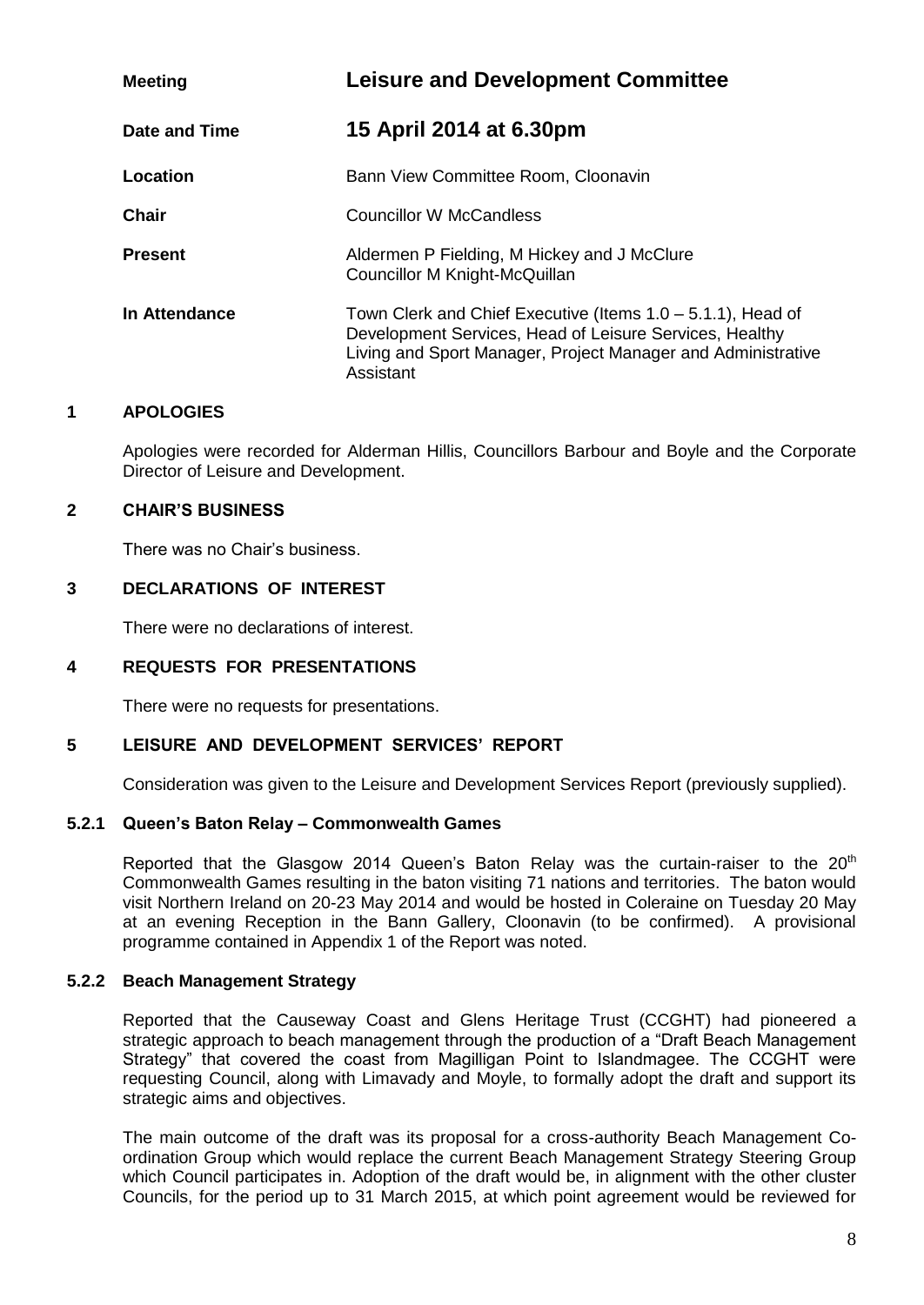| <b>Meeting</b> | <b>Leisure and Development Committee</b>                                                                                                                                                               |  |
|----------------|--------------------------------------------------------------------------------------------------------------------------------------------------------------------------------------------------------|--|
| Date and Time  | 15 April 2014 at 6.30pm                                                                                                                                                                                |  |
| Location       | Bann View Committee Room, Cloonavin                                                                                                                                                                    |  |
| <b>Chair</b>   | <b>Councillor W McCandless</b>                                                                                                                                                                         |  |
| <b>Present</b> | Aldermen P Fielding, M Hickey and J McClure<br>Councillor M Knight-McQuillan                                                                                                                           |  |
| In Attendance  | Town Clerk and Chief Executive (Items $1.0 - 5.1.1$ ), Head of<br>Development Services, Head of Leisure Services, Healthy<br>Living and Sport Manager, Project Manager and Administrative<br>Assistant |  |

Apologies were recorded for Alderman Hillis, Councillors Barbour and Boyle and the Corporate Director of Leisure and Development.

#### **2 CHAIR'S BUSINESS**

There was no Chair's business.

# **3 DECLARATIONS OF INTEREST**

There were no declarations of interest.

## **4 REQUESTS FOR PRESENTATIONS**

There were no requests for presentations.

## **5 LEISURE AND DEVELOPMENT SERVICES' REPORT**

Consideration was given to the Leisure and Development Services Report (previously supplied).

#### **5.2.1 Queen's Baton Relay – Commonwealth Games**

Reported that the Glasgow 2014 Queen's Baton Relay was the curtain-raiser to the 20<sup>th</sup> Commonwealth Games resulting in the baton visiting 71 nations and territories. The baton would visit Northern Ireland on 20-23 May 2014 and would be hosted in Coleraine on Tuesday 20 May at an evening Reception in the Bann Gallery, Cloonavin (to be confirmed). A provisional programme contained in Appendix 1 of the Report was noted.

#### **5.2.2 Beach Management Strategy**

Reported that the Causeway Coast and Glens Heritage Trust (CCGHT) had pioneered a strategic approach to beach management through the production of a "Draft Beach Management Strategy" that covered the coast from Magilligan Point to Islandmagee. The CCGHT were requesting Council, along with Limavady and Moyle, to formally adopt the draft and support its strategic aims and objectives.

The main outcome of the draft was its proposal for a cross-authority Beach Management Coordination Group which would replace the current Beach Management Strategy Steering Group which Council participates in. Adoption of the draft would be, in alignment with the other cluster Councils, for the period up to 31 March 2015, at which point agreement would be reviewed for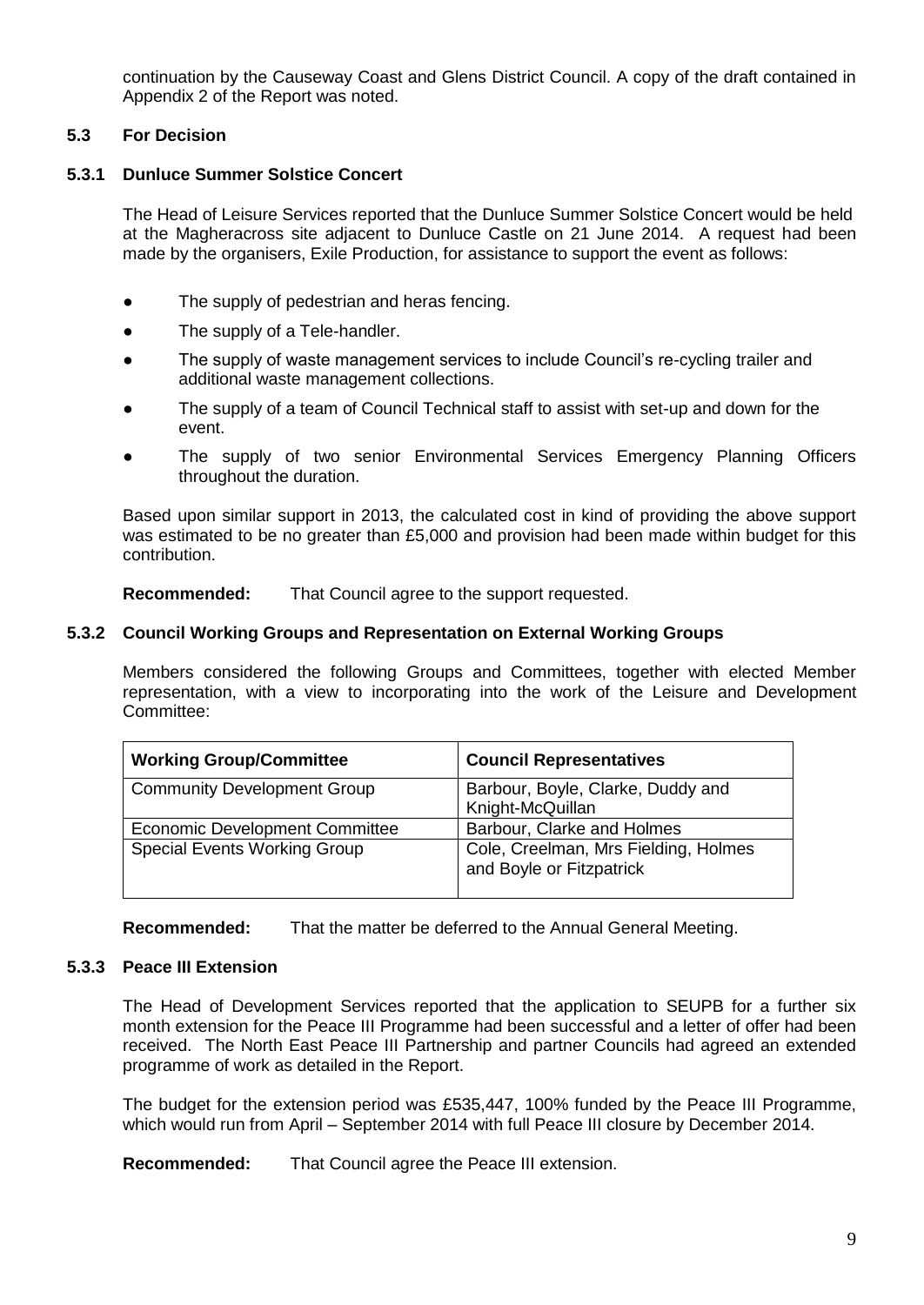continuation by the Causeway Coast and Glens District Council. A copy of the draft contained in Appendix 2 of the Report was noted.

# **5.3 For Decision**

#### **5.3.1 Dunluce Summer Solstice Concert**

The Head of Leisure Services reported that the Dunluce Summer Solstice Concert would be held at the Magheracross site adjacent to Dunluce Castle on 21 June 2014. A request had been made by the organisers, Exile Production, for assistance to support the event as follows:

- The supply of pedestrian and heras fencing.
- The supply of a Tele-handler.
- The supply of waste management services to include Council's re-cycling trailer and additional waste management collections.
- The supply of a team of Council Technical staff to assist with set-up and down for the event.
- The supply of two senior Environmental Services Emergency Planning Officers throughout the duration.

Based upon similar support in 2013, the calculated cost in kind of providing the above support was estimated to be no greater than £5,000 and provision had been made within budget for this contribution.

**Recommended:** That Council agree to the support requested.

#### **5.3.2 Council Working Groups and Representation on External Working Groups**

Members considered the following Groups and Committees, together with elected Member representation, with a view to incorporating into the work of the Leisure and Development Committee:

| <b>Working Group/Committee</b>        | <b>Council Representatives</b>                                   |
|---------------------------------------|------------------------------------------------------------------|
| <b>Community Development Group</b>    | Barbour, Boyle, Clarke, Duddy and<br>Knight-McQuillan            |
| <b>Economic Development Committee</b> | Barbour, Clarke and Holmes                                       |
| <b>Special Events Working Group</b>   | Cole, Creelman, Mrs Fielding, Holmes<br>and Boyle or Fitzpatrick |

**Recommended:** That the matter be deferred to the Annual General Meeting.

## **5.3.3 Peace III Extension**

The Head of Development Services reported that the application to SEUPB for a further six month extension for the Peace III Programme had been successful and a letter of offer had been received. The North East Peace III Partnership and partner Councils had agreed an extended programme of work as detailed in the Report.

The budget for the extension period was £535,447, 100% funded by the Peace III Programme, which would run from April – September 2014 with full Peace III closure by December 2014.

**Recommended:** That Council agree the Peace III extension.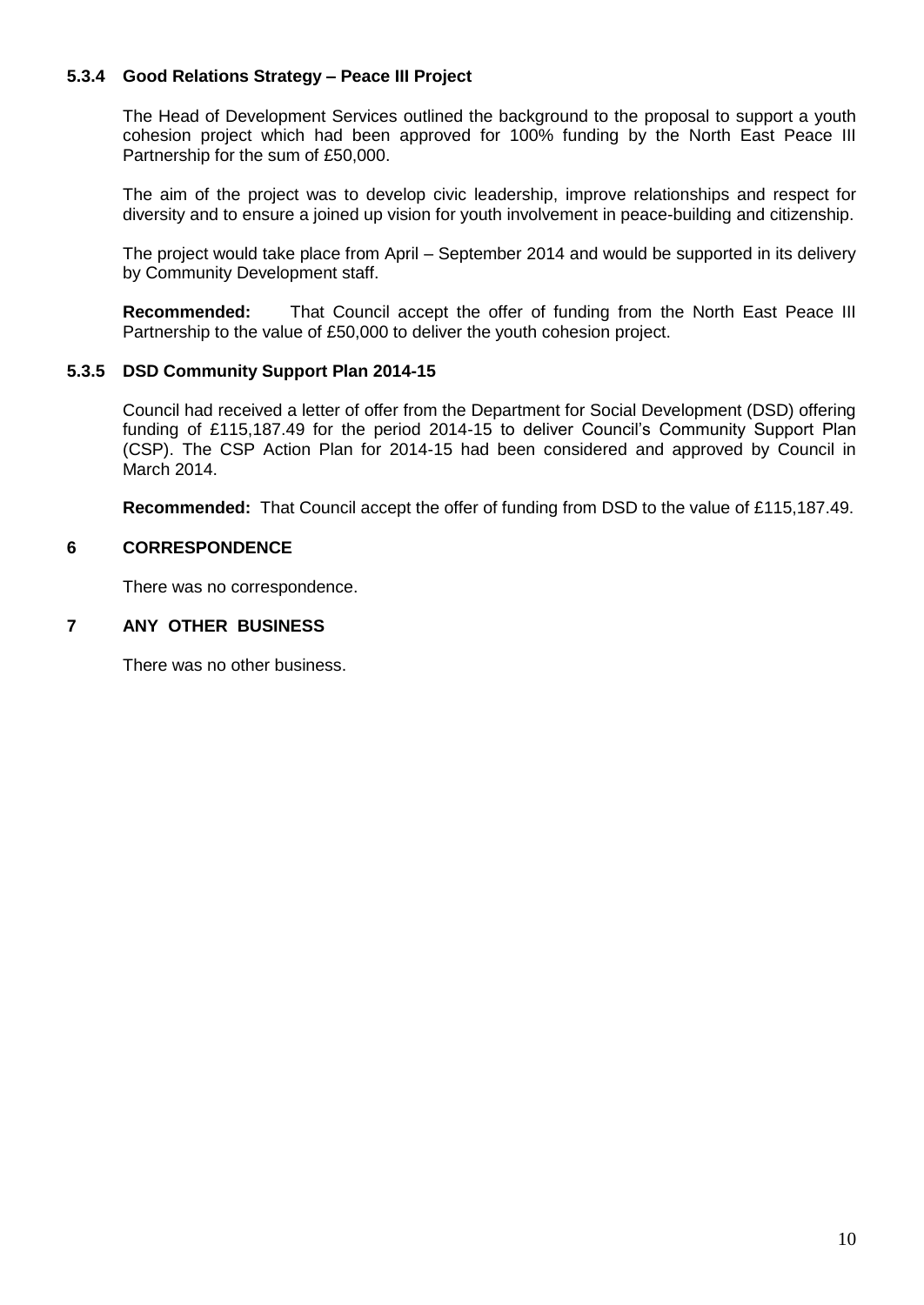# **5.3.4 Good Relations Strategy – Peace III Project**

The Head of Development Services outlined the background to the proposal to support a youth cohesion project which had been approved for 100% funding by the North East Peace III Partnership for the sum of £50,000.

The aim of the project was to develop civic leadership, improve relationships and respect for diversity and to ensure a joined up vision for youth involvement in peace-building and citizenship.

The project would take place from April – September 2014 and would be supported in its delivery by Community Development staff.

**Recommended:** That Council accept the offer of funding from the North East Peace III Partnership to the value of £50,000 to deliver the youth cohesion project.

## **5.3.5 DSD Community Support Plan 2014-15**

Council had received a letter of offer from the Department for Social Development (DSD) offering funding of £115,187.49 for the period 2014-15 to deliver Council's Community Support Plan (CSP). The CSP Action Plan for 2014-15 had been considered and approved by Council in March 2014.

**Recommended:** That Council accept the offer of funding from DSD to the value of £115,187.49.

#### **6 CORRESPONDENCE**

There was no correspondence.

## **7 ANY OTHER BUSINESS**

There was no other business.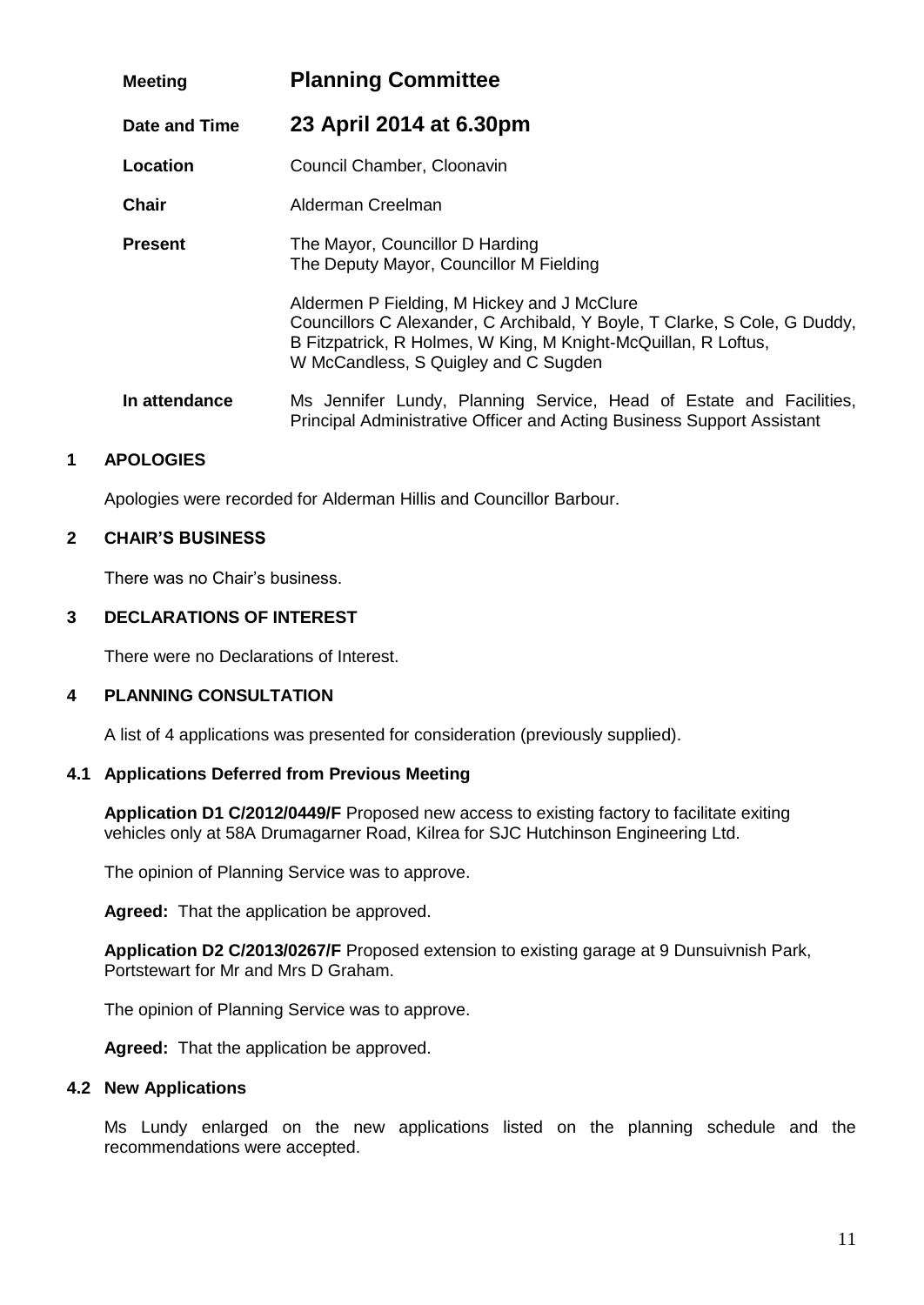| <b>Meeting</b> | <b>Planning Committee</b>                                                                                                                                                                                                          |  |
|----------------|------------------------------------------------------------------------------------------------------------------------------------------------------------------------------------------------------------------------------------|--|
| Date and Time  | 23 April 2014 at 6.30pm                                                                                                                                                                                                            |  |
| Location       | Council Chamber, Cloonavin                                                                                                                                                                                                         |  |
| <b>Chair</b>   | Alderman Creelman                                                                                                                                                                                                                  |  |
| <b>Present</b> | The Mayor, Councillor D Harding<br>The Deputy Mayor, Councillor M Fielding                                                                                                                                                         |  |
|                | Aldermen P Fielding, M Hickey and J McClure<br>Councillors C Alexander, C Archibald, Y Boyle, T Clarke, S Cole, G Duddy,<br>B Fitzpatrick, R Holmes, W King, M Knight-McQuillan, R Loftus,<br>W McCandless, S Quigley and C Sugden |  |
| In attendance  | Ms Jennifer Lundy, Planning Service, Head of Estate and Facilities,<br>Principal Administrative Officer and Acting Business Support Assistant                                                                                      |  |

Apologies were recorded for Alderman Hillis and Councillor Barbour.

# **2 CHAIR'S BUSINESS**

There was no Chair's business.

## **3 DECLARATIONS OF INTEREST**

There were no Declarations of Interest.

## **4 PLANNING CONSULTATION**

A list of 4 applications was presented for consideration (previously supplied).

## **4.1 Applications Deferred from Previous Meeting**

**Application D1 C/2012/0449/F** Proposed new access to existing factory to facilitate exiting vehicles only at 58A Drumagarner Road, Kilrea for SJC Hutchinson Engineering Ltd.

The opinion of Planning Service was to approve.

**Agreed:** That the application be approved.

**Application D2 C/2013/0267/F** Proposed extension to existing garage at 9 Dunsuivnish Park, Portstewart for Mr and Mrs D Graham.

The opinion of Planning Service was to approve.

**Agreed:** That the application be approved.

#### **4.2 New Applications**

Ms Lundy enlarged on the new applications listed on the planning schedule and the recommendations were accepted.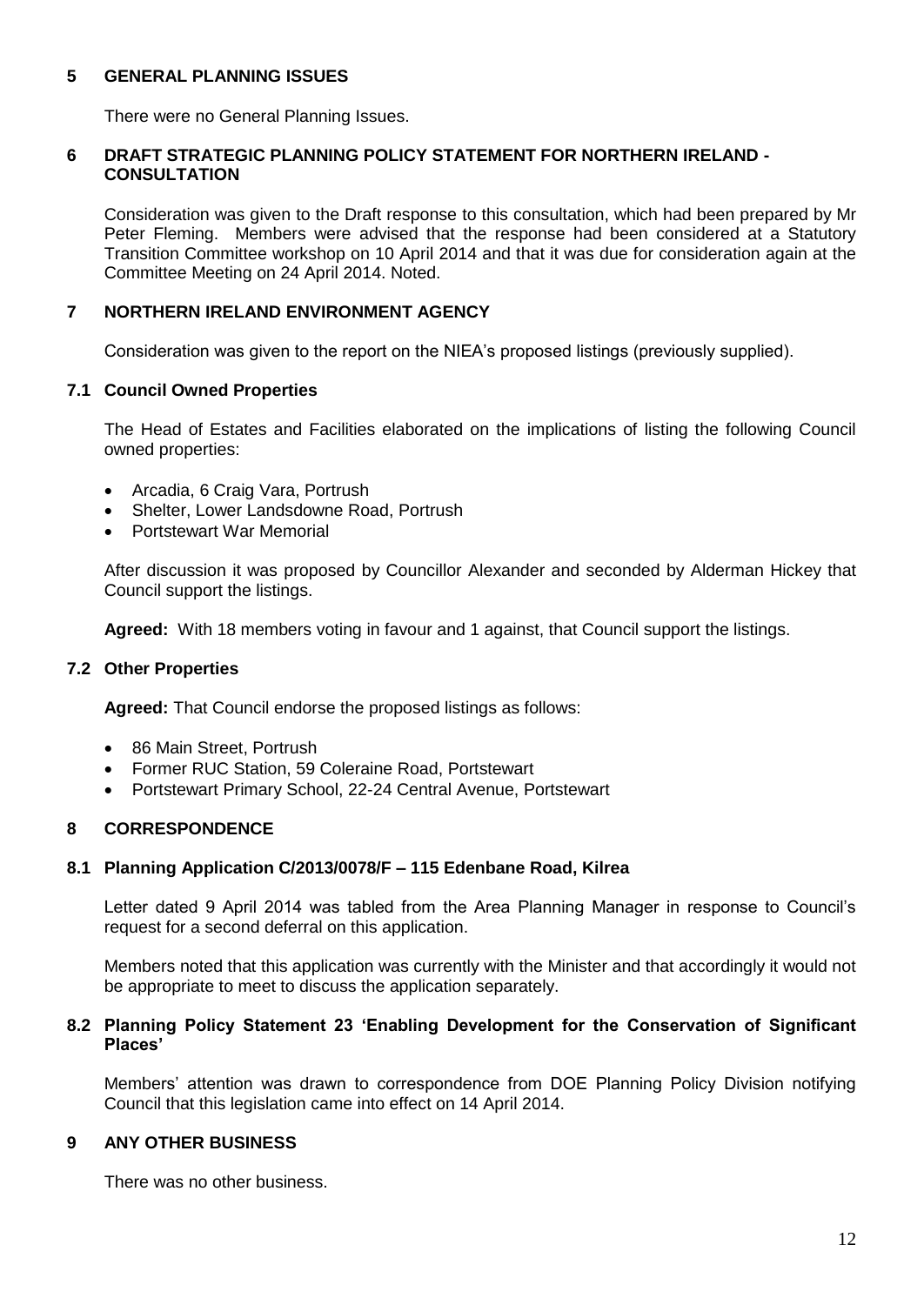## **5 GENERAL PLANNING ISSUES**

There were no General Planning Issues.

## **6 DRAFT STRATEGIC PLANNING POLICY STATEMENT FOR NORTHERN IRELAND - CONSULTATION**

Consideration was given to the Draft response to this consultation, which had been prepared by Mr Peter Fleming. Members were advised that the response had been considered at a Statutory Transition Committee workshop on 10 April 2014 and that it was due for consideration again at the Committee Meeting on 24 April 2014. Noted.

## **7 NORTHERN IRELAND ENVIRONMENT AGENCY**

Consideration was given to the report on the NIEA's proposed listings (previously supplied).

## **7.1 Council Owned Properties**

The Head of Estates and Facilities elaborated on the implications of listing the following Council owned properties:

- Arcadia, 6 Craig Vara, Portrush
- Shelter, Lower Landsdowne Road, Portrush
- Portstewart War Memorial

After discussion it was proposed by Councillor Alexander and seconded by Alderman Hickey that Council support the listings.

**Agreed:** With 18 members voting in favour and 1 against, that Council support the listings.

## **7.2 Other Properties**

**Agreed:** That Council endorse the proposed listings as follows:

- 86 Main Street, Portrush
- Former RUC Station, 59 Coleraine Road, Portstewart
- Portstewart Primary School, 22-24 Central Avenue, Portstewart

## **8 CORRESPONDENCE**

## **8.1 Planning Application C/2013/0078/F – 115 Edenbane Road, Kilrea**

Letter dated 9 April 2014 was tabled from the Area Planning Manager in response to Council's request for a second deferral on this application.

Members noted that this application was currently with the Minister and that accordingly it would not be appropriate to meet to discuss the application separately.

## **8.2 Planning Policy Statement 23 'Enabling Development for the Conservation of Significant Places'**

Members' attention was drawn to correspondence from DOE Planning Policy Division notifying Council that this legislation came into effect on 14 April 2014.

## **9 ANY OTHER BUSINESS**

There was no other business.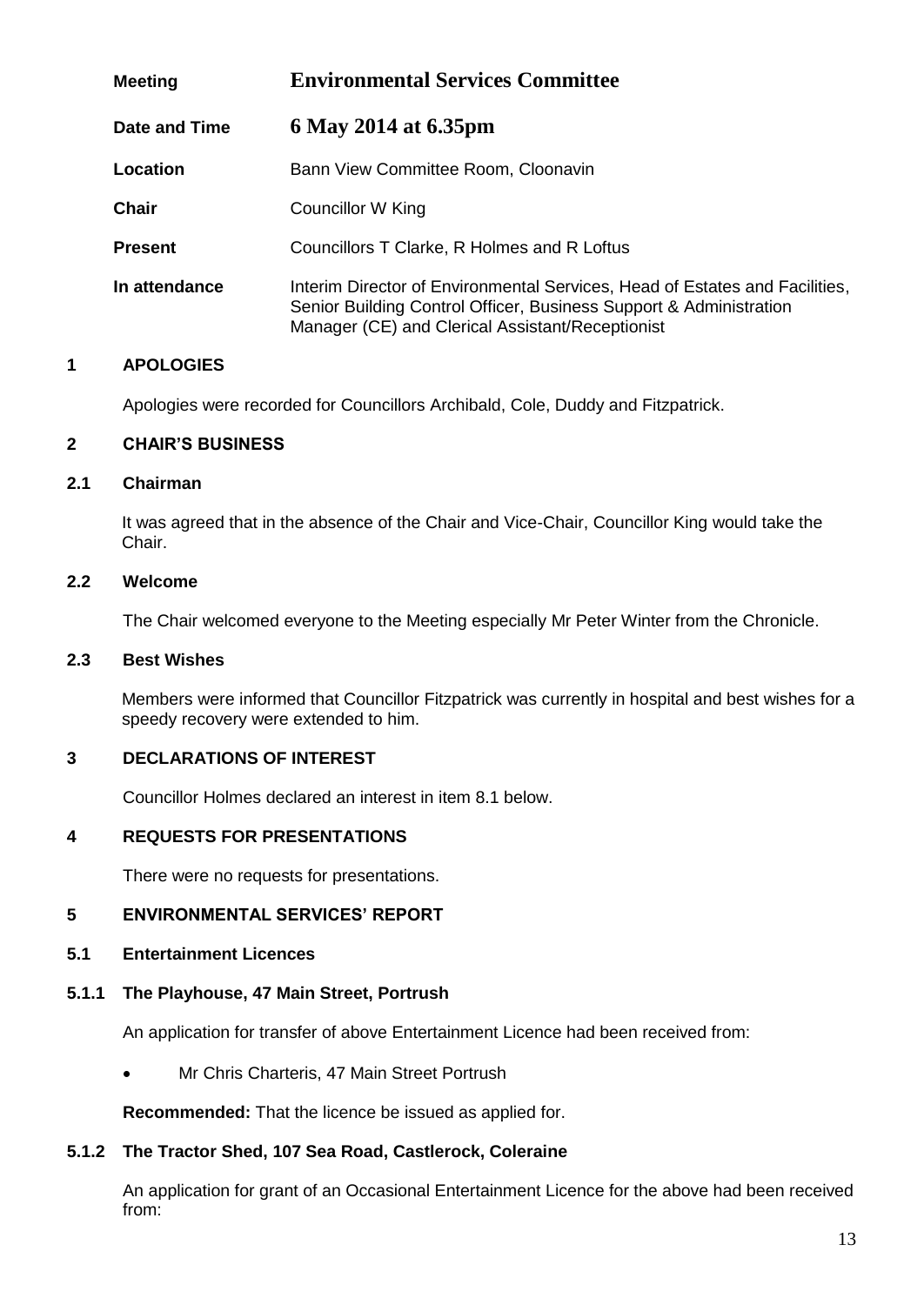| <b>Meeting</b> | <b>Environmental Services Committee</b>                                                                                                                                                               |  |
|----------------|-------------------------------------------------------------------------------------------------------------------------------------------------------------------------------------------------------|--|
| Date and Time  | 6 May 2014 at 6.35pm                                                                                                                                                                                  |  |
| Location       | Bann View Committee Room, Cloonavin                                                                                                                                                                   |  |
| <b>Chair</b>   | Councillor W King                                                                                                                                                                                     |  |
| <b>Present</b> | Councillors T Clarke, R Holmes and R Loftus                                                                                                                                                           |  |
| In attendance  | Interim Director of Environmental Services, Head of Estates and Facilities,<br>Senior Building Control Officer, Business Support & Administration<br>Manager (CE) and Clerical Assistant/Receptionist |  |

Apologies were recorded for Councillors Archibald, Cole, Duddy and Fitzpatrick.

## **2 CHAIR'S BUSINESS**

## **2.1 Chairman**

It was agreed that in the absence of the Chair and Vice-Chair, Councillor King would take the Chair.

# **2.2 Welcome**

The Chair welcomed everyone to the Meeting especially Mr Peter Winter from the Chronicle.

## **2.3 Best Wishes**

Members were informed that Councillor Fitzpatrick was currently in hospital and best wishes for a speedy recovery were extended to him.

## **3 DECLARATIONS OF INTEREST**

Councillor Holmes declared an interest in item 8.1 below.

## **4 REQUESTS FOR PRESENTATIONS**

There were no requests for presentations.

## **5 ENVIRONMENTAL SERVICES' REPORT**

## **5.1 Entertainment Licences**

## **5.1.1 The Playhouse, 47 Main Street, Portrush**

An application for transfer of above Entertainment Licence had been received from:

• Mr Chris Charteris, 47 Main Street Portrush

**Recommended:** That the licence be issued as applied for.

## **5.1.2 The Tractor Shed, 107 Sea Road, Castlerock, Coleraine**

An application for grant of an Occasional Entertainment Licence for the above had been received from: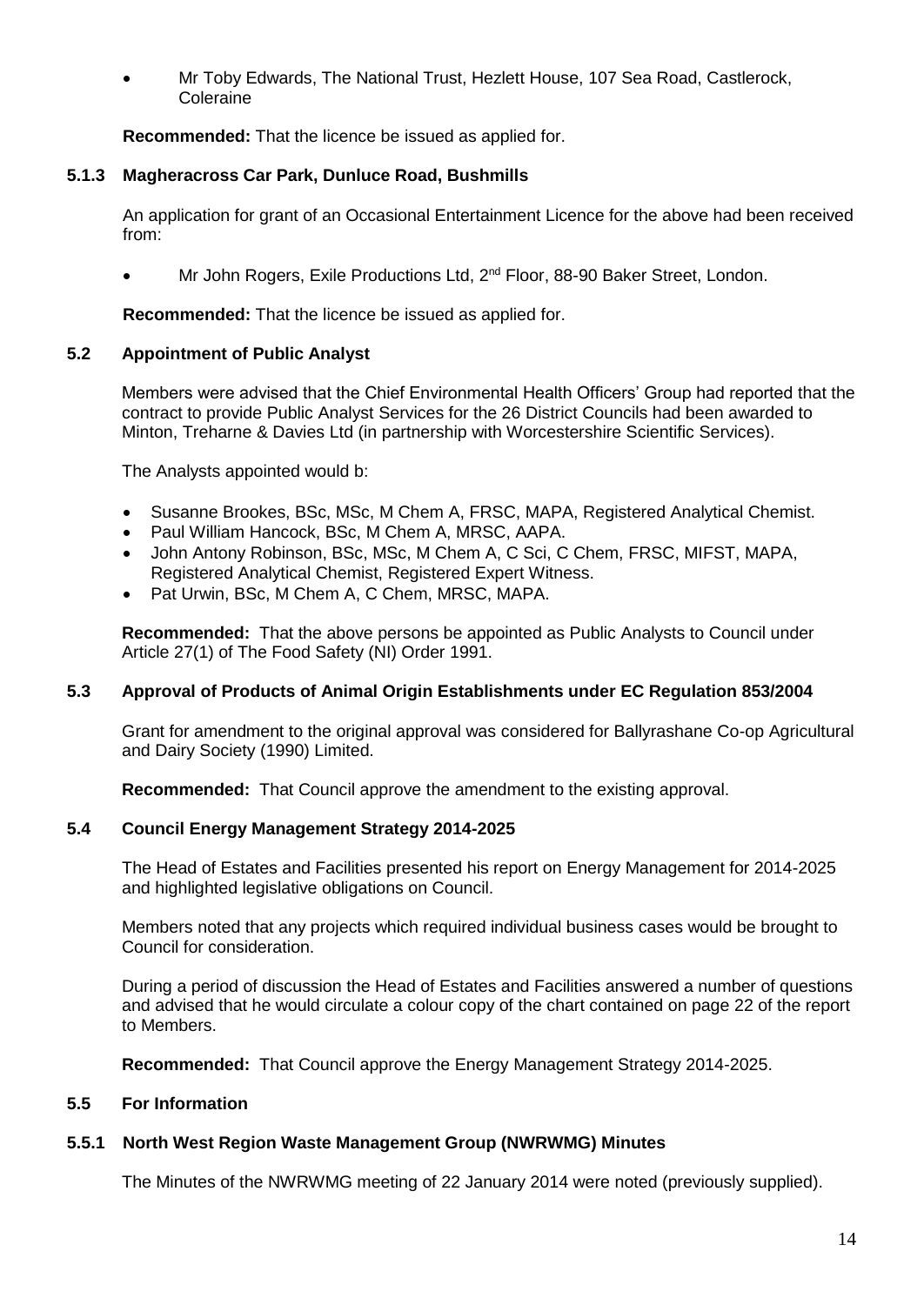Mr Toby Edwards, The National Trust, Hezlett House, 107 Sea Road, Castlerock, Coleraine

**Recommended:** That the licence be issued as applied for.

# **5.1.3 Magheracross Car Park, Dunluce Road, Bushmills**

An application for grant of an Occasional Entertainment Licence for the above had been received from:

Mr John Rogers, Exile Productions Ltd, 2<sup>nd</sup> Floor, 88-90 Baker Street, London.

**Recommended:** That the licence be issued as applied for.

## **5.2 Appointment of Public Analyst**

Members were advised that the Chief Environmental Health Officers' Group had reported that the contract to provide Public Analyst Services for the 26 District Councils had been awarded to Minton, Treharne & Davies Ltd (in partnership with Worcestershire Scientific Services).

The Analysts appointed would b:

- Susanne Brookes, BSc, MSc, M Chem A, FRSC, MAPA, Registered Analytical Chemist.
- Paul William Hancock, BSc, M Chem A, MRSC, AAPA.
- John Antony Robinson, BSc, MSc, M Chem A, C Sci, C Chem, FRSC, MIFST, MAPA, Registered Analytical Chemist, Registered Expert Witness.
- Pat Urwin, BSc, M Chem A, C Chem, MRSC, MAPA.

**Recommended:** That the above persons be appointed as Public Analysts to Council under Article 27(1) of The Food Safety (NI) Order 1991.

## **5.3 Approval of Products of Animal Origin Establishments under EC Regulation 853/2004**

Grant for amendment to the original approval was considered for Ballyrashane Co-op Agricultural and Dairy Society (1990) Limited.

**Recommended:** That Council approve the amendment to the existing approval.

## **5.4 Council Energy Management Strategy 2014-2025**

The Head of Estates and Facilities presented his report on Energy Management for 2014-2025 and highlighted legislative obligations on Council.

Members noted that any projects which required individual business cases would be brought to Council for consideration.

During a period of discussion the Head of Estates and Facilities answered a number of questions and advised that he would circulate a colour copy of the chart contained on page 22 of the report to Members.

**Recommended:** That Council approve the Energy Management Strategy 2014-2025.

## **5.5 For Information**

# **5.5.1 North West Region Waste Management Group (NWRWMG) Minutes**

The Minutes of the NWRWMG meeting of 22 January 2014 were noted (previously supplied).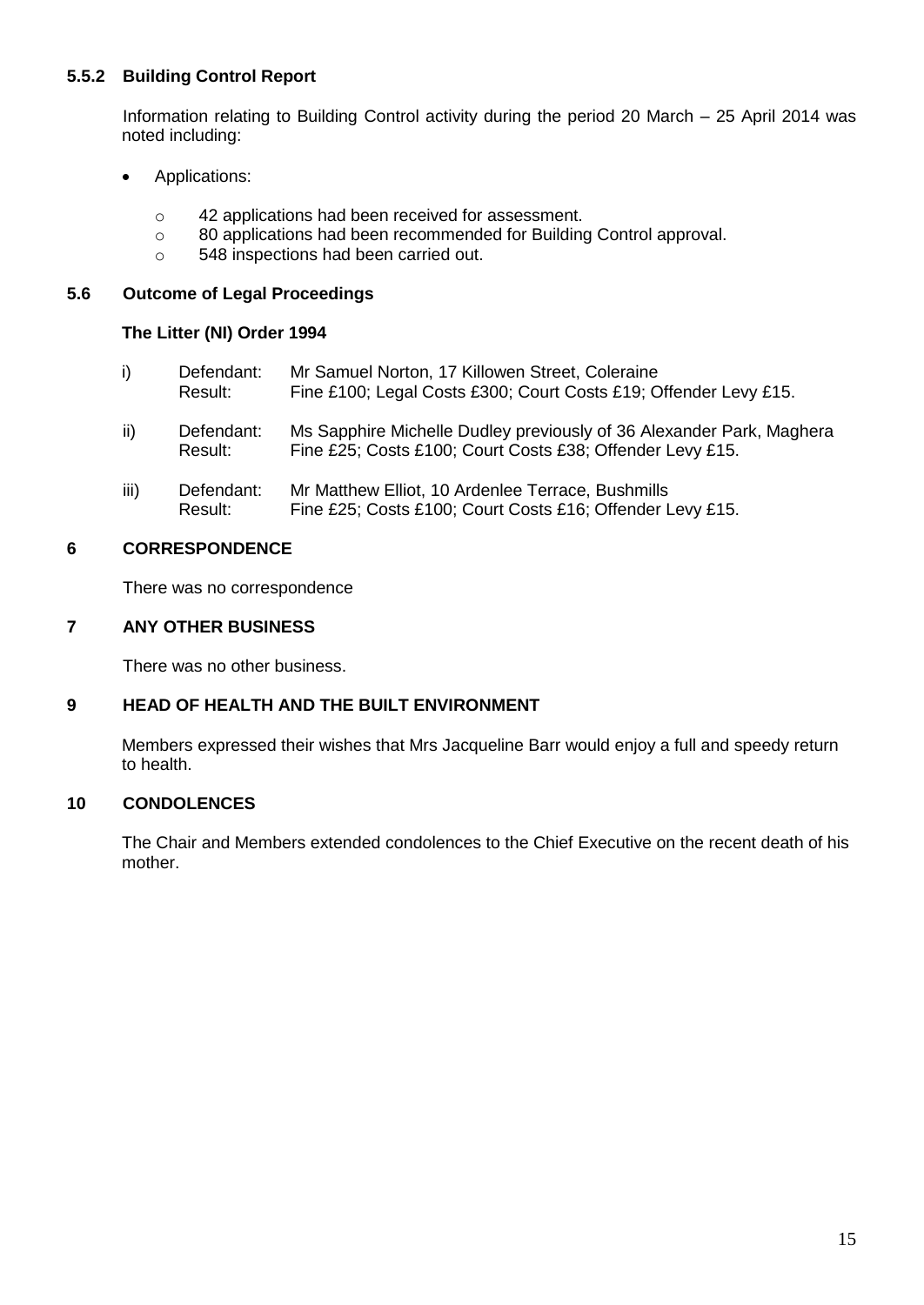# **5.5.2 Building Control Report**

Information relating to Building Control activity during the period 20 March – 25 April 2014 was noted including:

- Applications:
	- o 42 applications had been received for assessment.
	- o 80 applications had been recommended for Building Control approval.
	- o 548 inspections had been carried out.

## **5.6 Outcome of Legal Proceedings**

## **The Litter (NI) Order 1994**

| i)   | Defendant:<br>Result: | Mr Samuel Norton, 17 Killowen Street, Coleraine<br>Fine £100; Legal Costs £300; Court Costs £19; Offender Levy £15.               |
|------|-----------------------|-----------------------------------------------------------------------------------------------------------------------------------|
| ii)  | Defendant:<br>Result: | Ms Sapphire Michelle Dudley previously of 36 Alexander Park, Maghera<br>Fine £25; Costs £100; Court Costs £38; Offender Levy £15. |
| iii) | Defendant:<br>Result: | Mr Matthew Elliot, 10 Ardenlee Terrace, Bushmills<br>Fine £25; Costs £100; Court Costs £16; Offender Levy £15.                    |

# **6 CORRESPONDENCE**

There was no correspondence

# **7 ANY OTHER BUSINESS**

There was no other business.

# **9 HEAD OF HEALTH AND THE BUILT ENVIRONMENT**

Members expressed their wishes that Mrs Jacqueline Barr would enjoy a full and speedy return to health.

# **10 CONDOLENCES**

The Chair and Members extended condolences to the Chief Executive on the recent death of his mother.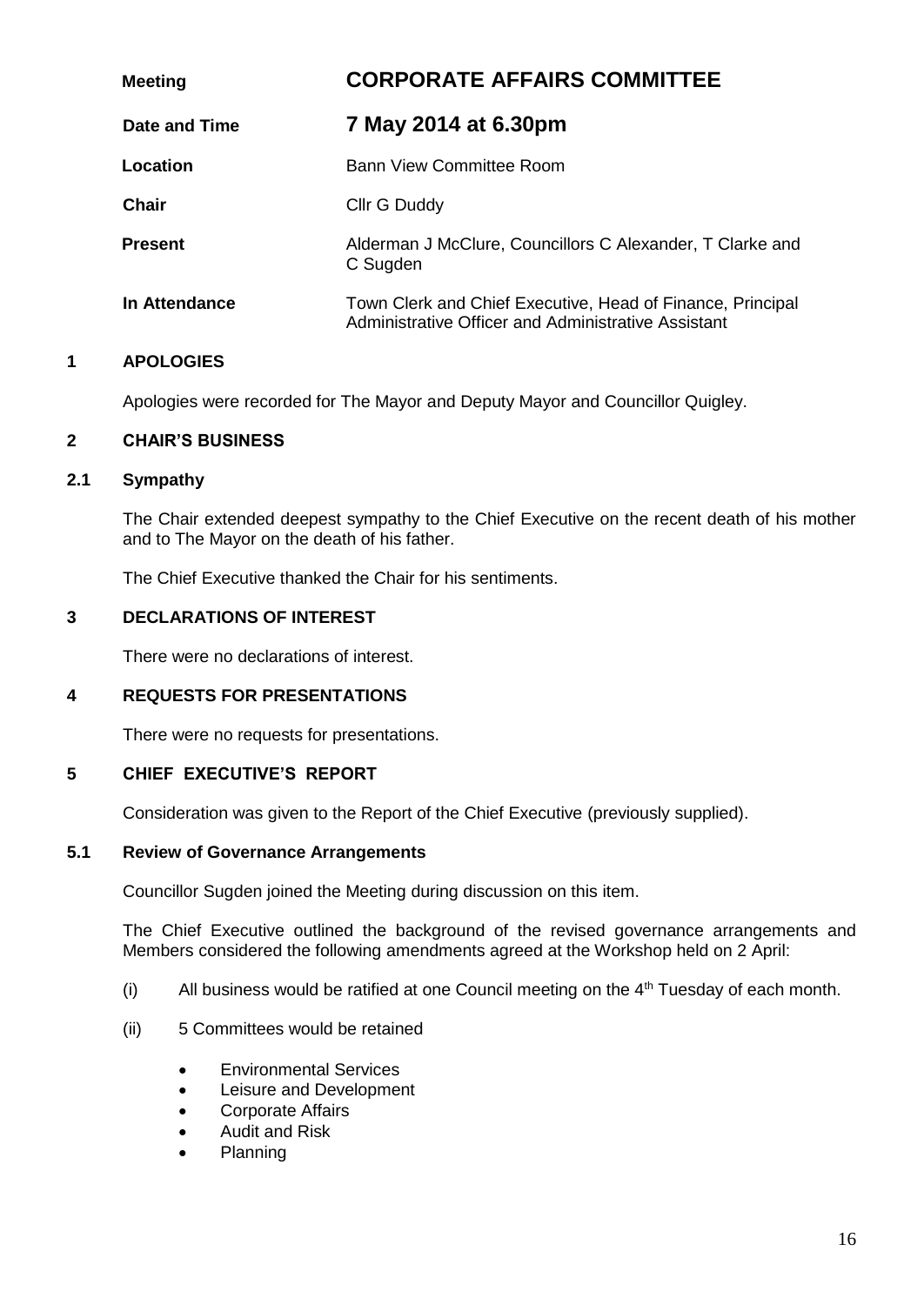| <b>Meeting</b> | <b>CORPORATE AFFAIRS COMMITTEE</b>                                                                                |  |
|----------------|-------------------------------------------------------------------------------------------------------------------|--|
| Date and Time  | 7 May 2014 at 6.30pm                                                                                              |  |
| Location       | Bann View Committee Room                                                                                          |  |
| Chair          | Cllr G Duddy                                                                                                      |  |
| <b>Present</b> | Alderman J McClure, Councillors C Alexander, T Clarke and<br>C Sugden                                             |  |
| In Attendance  | Town Clerk and Chief Executive, Head of Finance, Principal<br>Administrative Officer and Administrative Assistant |  |

Apologies were recorded for The Mayor and Deputy Mayor and Councillor Quigley.

## **2 CHAIR'S BUSINESS**

## **2.1 Sympathy**

The Chair extended deepest sympathy to the Chief Executive on the recent death of his mother and to The Mayor on the death of his father.

The Chief Executive thanked the Chair for his sentiments.

## **3 DECLARATIONS OF INTEREST**

There were no declarations of interest.

## **4 REQUESTS FOR PRESENTATIONS**

There were no requests for presentations.

# **5 CHIEF EXECUTIVE'S REPORT**

Consideration was given to the Report of the Chief Executive (previously supplied).

## **5.1 Review of Governance Arrangements**

Councillor Sugden joined the Meeting during discussion on this item.

The Chief Executive outlined the background of the revised governance arrangements and Members considered the following amendments agreed at the Workshop held on 2 April:

- (i) All business would be ratified at one Council meeting on the  $4<sup>th</sup>$  Tuesday of each month.
- (ii) 5 Committees would be retained
	- Environmental Services
	- Leisure and Development
	- Corporate Affairs
	- Audit and Risk
	- Planning